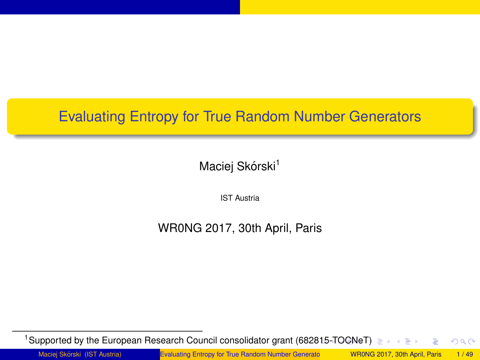# <span id="page-0-0"></span>Evaluating Entropy for True Random Number Generators

Maciej Skórski<sup>1</sup>

IST Austria

WR0NG 2017, 30th April, Paris

<sup>1</sup>Supported by the European Research Council consolidator grant (68[281](#page-0-0)[5-T](#page-1-0)OGN[e](#page-1-0)[T\)](#page-0-0)  $QQ$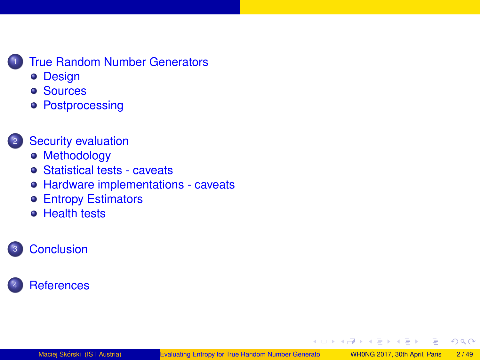## <span id="page-1-0"></span>**[True Random Number Generators](#page-2-0)**

- o [Design](#page-4-0)
- **[Sources](#page-9-0)**
- **[Postprocessing](#page-16-0)**

## **[Security evaluation](#page-20-0)**

- **[Methodology](#page-21-0)**
- [Statistical tests caveats](#page-24-0)
- [Hardware implementations caveats](#page-28-0)
- [Entropy Estimators](#page-30-0)
- **e** [Health tests](#page-36-0)

## **[Conclusion](#page-40-0)**



( □ ) ( / f)

œ

 $2Q$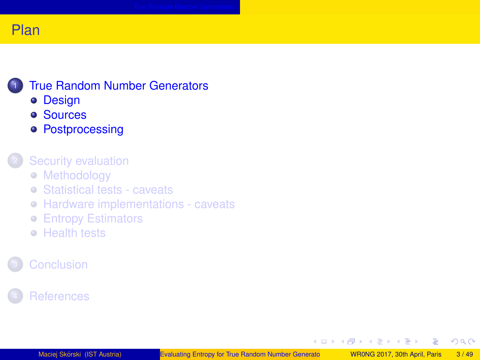## <span id="page-2-0"></span>**[True Random Number Generators](#page-2-0)**

- **•** [Design](#page-4-0)
- **[Sources](#page-9-0)**
- **[Postprocessing](#page-16-0)**

#### [Security evaluation](#page-20-0)

- [Methodology](#page-21-0)
- [Statistical tests caveats](#page-24-0)
- [Hardware implementations caveats](#page-28-0)
- **[Entropy Estimators](#page-30-0)**
- **[Health tests](#page-36-0)**

## **[References](#page-42-0)**

**K ロ ト K 何 ト** 

 $\sim$ ÷. **B**  Þ

 $2Q$ 

 $\leftarrow \equiv +$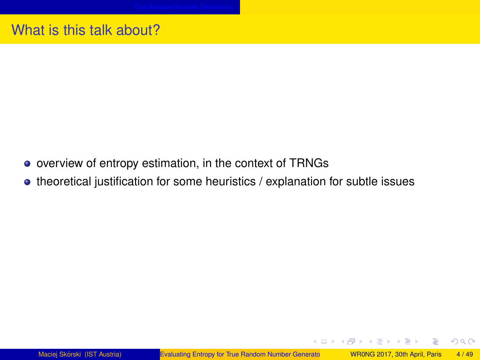## <span id="page-3-0"></span>What is this talk about?

- overview of entropy estimation, in the context of TRNGs
- theoretical justification for some heuristics / explanation for subtle issues

イロト イ母 トイヨ トイヨ トー

 $\Rightarrow$  $\Omega$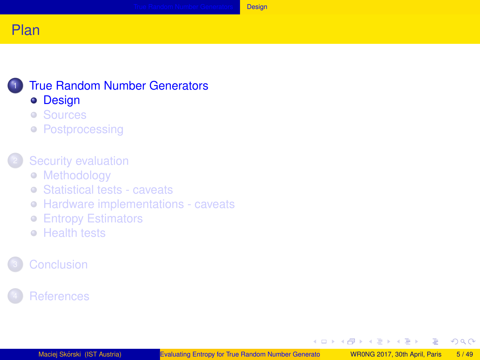

#### <span id="page-4-0"></span>**[True Random Number Generators](#page-2-0) •** [Design](#page-4-0)

- [Sources](#page-9-0)
- **[Postprocessing](#page-16-0)**

## [Security evaluation](#page-20-0)

- [Methodology](#page-21-0)
- [Statistical tests caveats](#page-24-0)
- [Hardware implementations caveats](#page-28-0)
- **[Entropy Estimators](#page-30-0)**
- **[Health tests](#page-36-0)**

## **[References](#page-42-0)**

**K ロ ト K 何 ト** 

 $\rightarrow$   $\equiv$   $\rightarrow$ 

Þ

 $2Q$ 

 $\leftarrow \equiv +$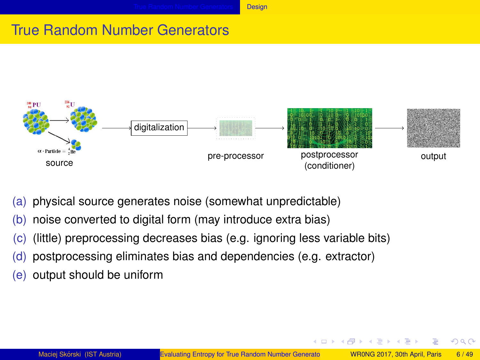# <span id="page-5-0"></span>True Random Number Generators



- (a) physical source generates noise (somewhat unpredictable)
- (b) noise converted to digital form (may introduce extra bias)
- (c) (little) preprocessing decreases bias (e.g. ignoring less variable bits)
- (d) postprocessing eliminates bias and dependencies (e.g. extractor)
- (e) output should be uniform

 $\Omega$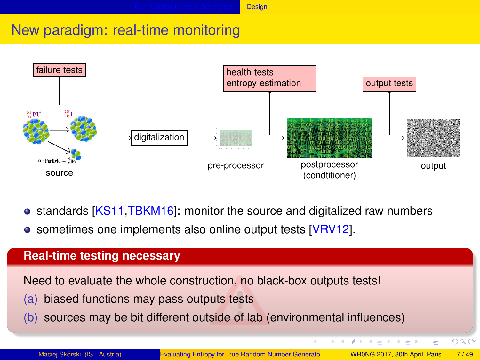## <span id="page-6-0"></span>New paradigm: real-time monitoring



- standards [\[KS11](#page-45-0)[,TBKM16\]](#page-47-0): monitor the source and digitalized raw numbers
- sometimes one implements also online output tests [\[VRV12\]](#page-47-1).

#### **Real-time testing necessary**

Need to evaluate the whole construction, no black-box outputs tests!

- (a) biased functions may pass outputs tests
- (b) sources may be bit different outside of lab (environmental influences)

Ξ

 $\Omega$ 

医下 メラト

**K ロ ト K 何 ト K**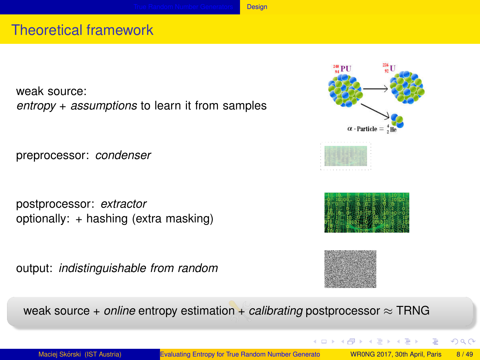## <span id="page-7-0"></span>Theoretical framework

weak source: *entropy* + *assumptions* to learn it from samples

preprocessor: *condenser*

postprocessor: *extractor* optionally: + hashing (extra masking)

output: *indistinguishable from random*





イロメ イ母メ イヨメ イヨメ



weak source + *online* entropy estimation + *calibrating* postprocessor ≈ TRNG

画

 $QQQ$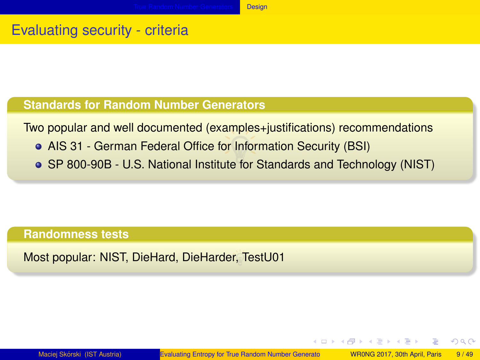# <span id="page-8-0"></span>Evaluating security - criteria

### **Standards for Random Number Generators**

Two popular and well documented (examples+justifications) recommendations

- AIS 31 German Federal Office for Information Security (BSI)
- SP 800-90B U.S. National Institute for Standards and Technology (NIST)

#### **Randomness tests**

Most popular: NIST, DieHard, DieHarder, TestU01

 $QQQ$ 

イロト イ押 トイヨ トイヨ トー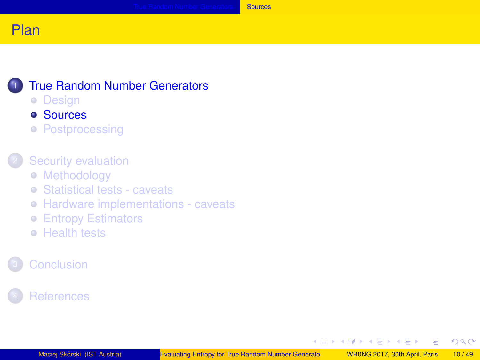## <span id="page-9-0"></span>**[True Random Number Generators](#page-2-0)**

• [Design](#page-4-0)

#### [Sources](#page-9-0)

**• [Postprocessing](#page-16-0)** 

#### [Security evaluation](#page-20-0)

- [Methodology](#page-21-0)
- [Statistical tests caveats](#page-24-0)
- [Hardware implementations caveats](#page-28-0)
- **[Entropy Estimators](#page-30-0)**
- **[Health tests](#page-36-0)**

## **[References](#page-42-0)**

イロト イ母 トイラト イラト

 $2Q$ 

∍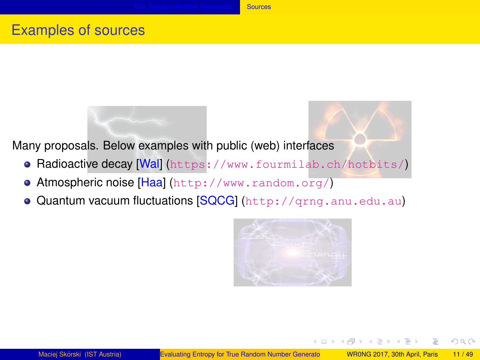## <span id="page-10-0"></span>Examples of sources

Many proposals. Below examples with public (web) interfaces

- **Radioactive decay [\[Wal\]](#page-47-2)** (<https://www.fourmilab.ch/hotbits/>)
- **Atmospheric noise [\[Haa\]](#page-44-0) (<http://www.random.org/>)**
- Quantum vacuum fluctuations [\[SQCG\]](#page-46-0) (<http://qrng.anu.edu.au>)

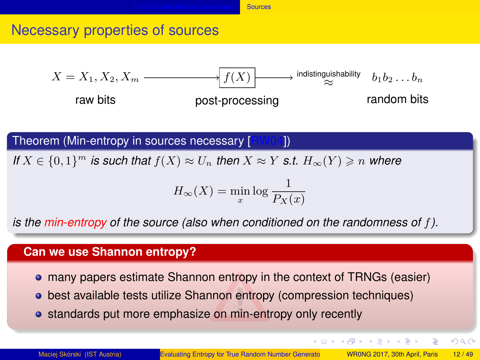## <span id="page-11-0"></span>Necessary properties of sources



Theorem (Min-entropy in sources necessary [\[RW04\]](#page-46-1))

*If*  $X \in \{0,1\}^m$  *is such that*  $f(X) \approx U_n$  *then*  $X \approx Y$  *s.t.*  $H_\infty(Y) \geq n$  *where* 

$$
H_{\infty}(X) = \min_{x} \log \frac{1}{P_X(x)}
$$

*is the min-entropy of the source (also when conditioned on the randomness of f).*

#### **Can we use Shannon entropy?**

- many papers estimate Shannon entropy in the context of TRNGs (easier)
- best available tests utilize Shannon entropy (compression techniques)
- standards put more emphasize on min-entropy only recently

 $QQQ$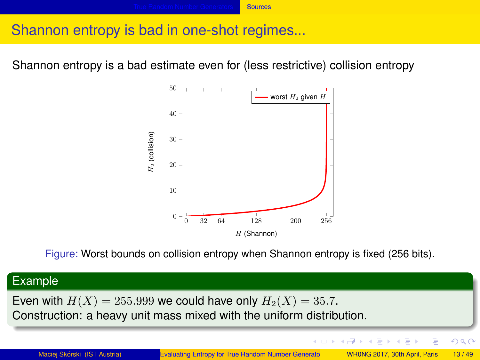#### **[Sources](#page-12-0)**

## <span id="page-12-0"></span>Shannon entropy is bad in one-shot regimes...

Shannon entropy is a bad estimate even for (less restrictive) collision entropy



Figure: Worst bounds on collision entropy when Shannon entropy is fixed (256 bits).

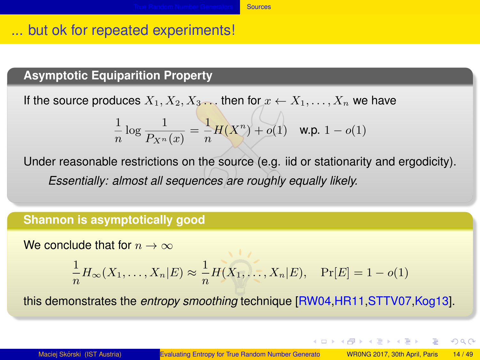## <span id="page-13-0"></span>... but ok for repeated experiments!

### **Asymptotic Equiparition Property**

If the source produces  $X_1, X_2, X_3$ . then for  $x \leftarrow X_1, \ldots, X_n$  we have

$$
\frac{1}{n}\log\frac{1}{P_{X^n}(x)} = \frac{1}{n}H(X^n) + o(1) \quad \text{w.p. } 1 - o(1)
$$

Under reasonable restrictions on the source (e.g. iid or stationarity and ergodicity). *Essentially: almost all sequences are roughly equally likely.*

#### **Shannon is asymptotically good**

We conclude that for  $n \to \infty$ 

$$
\frac{1}{n}H_{\infty}(X_1,\ldots,X_n|E) \approx \frac{1}{n}H(X_1,\ldots,X_n|E), \quad \Pr[E] = 1 - o(1)
$$

this demonstrates the *entropy smoothing* technique [\[RW04](#page-46-1)[,HR11,](#page-44-1)[STTV07,](#page-47-3)[Kog13\]](#page-44-2).

 $\mathbf{A} \cap \mathbf{B} \rightarrow \mathbf{A} \oplus \mathbf{B} \rightarrow \mathbf{A} \oplus \mathbf{B} \rightarrow \mathbf{B} \oplus \mathbf{B} \oplus \mathbf{B} \oplus \mathbf{B} \oplus \mathbf{B} \oplus \mathbf{B} \oplus \mathbf{B} \oplus \mathbf{B} \oplus \mathbf{B} \oplus \mathbf{B} \oplus \mathbf{B} \oplus \mathbf{B} \oplus \mathbf{B} \oplus \mathbf{B} \oplus \mathbf{B} \oplus \mathbf{B} \oplus \mathbf{B} \oplus \mathbf{B} \oplus \mathbf{B} \opl$ 

 $QQQ$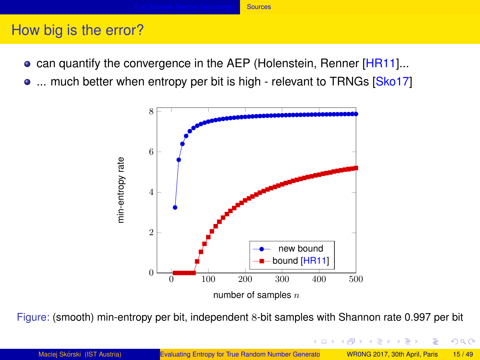#### **[Sources](#page-14-0)**

## <span id="page-14-0"></span>How big is the error?

- **can quantify the convergence in the AEP (Holenstein, Renner [\[HR11\]](#page-44-1)...**
- ... much better when entropy per bit is high relevant to TRNGs [\[Sko17\]](#page-47-4)



Figure: (smooth) min-entropy per bit, independent 8-bit samples with Shannon rate 0.997 per bit

 $290$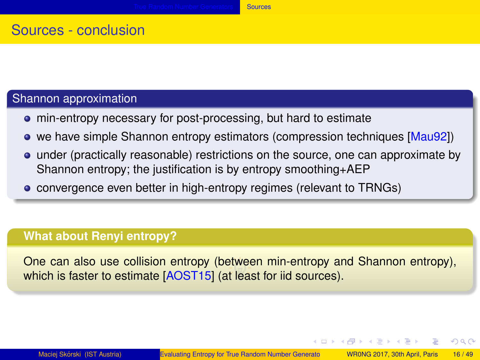## <span id="page-15-0"></span>Sources - conclusion

## Shannon approximation

- min-entropy necessary for post-processing, but hard to estimate
- we have simple Shannon entropy estimators (compression techniques [\[Mau92\]](#page-45-1))
- under (practically reasonable) restrictions on the source, one can approximate by Shannon entropy; the justification is by entropy smoothing+AEP
- **•** convergence even better in high-entropy regimes (relevant to TRNGs)

#### **What about Renyi entropy?**

One can also use collision entropy (between min-entropy and Shannon entropy), which is faster to estimate [\[AOST15\]](#page-43-0) (at least for iid sources).

イロン イ団ン イヨン イヨン 一番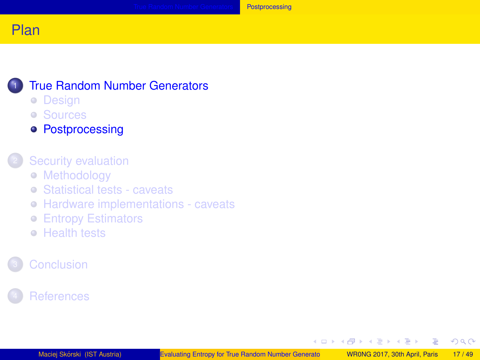<span id="page-16-0"></span>

## **[True Random Number Generators](#page-2-0)**

- [Design](#page-4-0)
- [Sources](#page-9-0)
- **[Postprocessing](#page-16-0)**

#### [Security evaluation](#page-20-0)

- [Methodology](#page-21-0)
- [Statistical tests caveats](#page-24-0)
- [Hardware implementations caveats](#page-28-0)
- **[Entropy Estimators](#page-30-0)**
- **[Health tests](#page-36-0)**

## **[References](#page-42-0)**

イロト イ母 トイラト イラト

 $2Q$ 

∍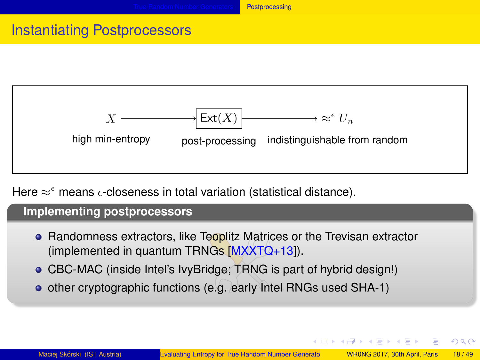## <span id="page-17-0"></span>Instantiating Postprocessors



Here  $\approx^{\epsilon}$  means  $\epsilon$ -closeness in total variation (statistical distance).

#### **Implementing postprocessors**

- Randomness extractors, like Teoplitz Matrices or the Trevisan extractor (implemented in quantum TRNGs [\[MXXTQ+13\]](#page-45-2)).
- CBC-MAC (inside Intel's IvyBridge; TRNG is part of hybrid design!)
- o other cryptographic functions (e.g. early Intel RNGs used SHA-1)

イロメ イ何メ イヨメ イヨメーヨ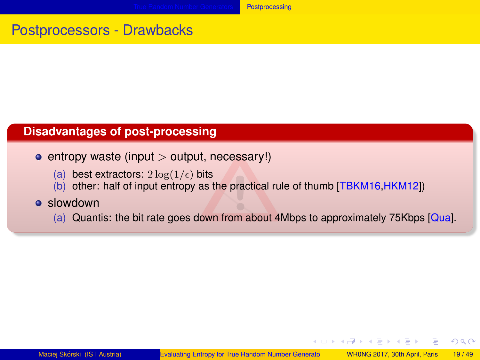## <span id="page-18-0"></span>Postprocessors - Drawbacks

#### **Disadvantages of post-processing**

entropy waste (input *>* output, necessary!)

- (a) best extractors:  $2 \log(1/\epsilon)$  bits
- (b) other: half of input entropy as the practical rule of thumb [\[TBKM16,](#page-47-0)[HKM12\]](#page-44-3))

#### **a** slowdown

(a) Quantis: the bit rate goes down from about 4Mbps to approximately 75Kbps [\[Qua\]](#page-45-3).

イロト イ母ト イヨト イヨト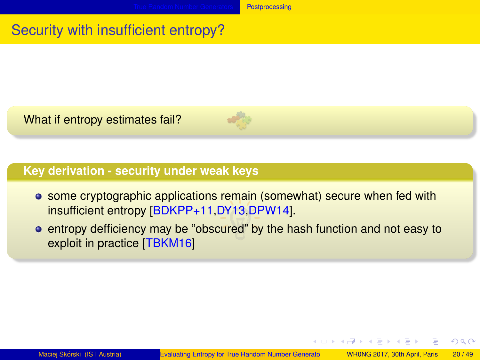# <span id="page-19-0"></span>Security with insufficient entropy?

What if entropy estimates fail?



### **Key derivation - security under weak keys**

- **•** some cryptographic applications remain (somewhat) secure when fed with insufficient entropy [\[BDKPP+11,](#page-43-1)[DY13](#page-44-4)[,DPW14\]](#page-43-2).
- **•** entropy defficiency may be "obscured" by the hash function and not easy to exploit in practice [\[TBKM16\]](#page-47-0)

イロト イ母ト イヨト イヨト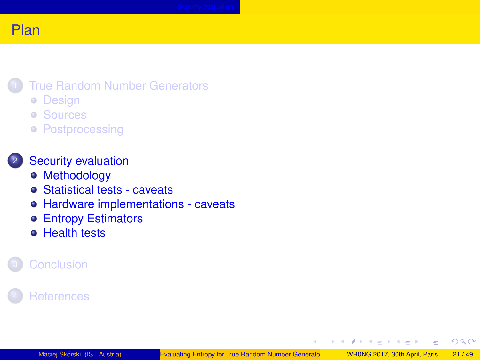### <span id="page-20-0"></span>**[True Random Number Generators](#page-2-0)**

- [Design](#page-4-0)
- [Sources](#page-9-0)
- **[Postprocessing](#page-16-0)**

### <sup>2</sup> [Security evaluation](#page-20-0)

- [Methodology](#page-21-0)
- [Statistical tests caveats](#page-24-0)
- [Hardware implementations caveats](#page-28-0)
- [Entropy Estimators](#page-30-0)
- **[Health tests](#page-36-0)**

## **[References](#page-42-0)**

(□ ) ( ) → ( )

×

**B** 

 $2Q$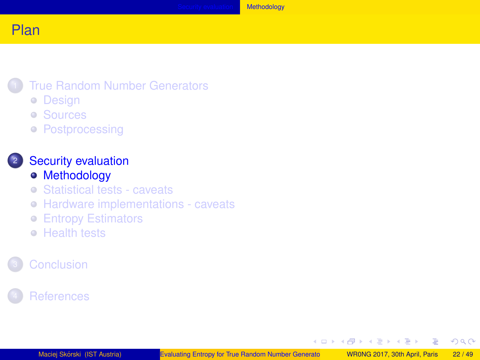### <span id="page-21-0"></span>**[True Random Number Generators](#page-2-0)**

- [Design](#page-4-0)
- [Sources](#page-9-0)
- **[Postprocessing](#page-16-0)**

### <sup>2</sup> [Security evaluation](#page-20-0)

- [Methodology](#page-21-0)
- [Statistical tests caveats](#page-24-0)
- [Hardware implementations caveats](#page-28-0)
- **[Entropy Estimators](#page-30-0)**
- **[Health tests](#page-36-0)**

## **[References](#page-42-0)**

**K ロ ト K 何 ト** 

→ 重 ★

 $\rightarrow$   $\equiv$   $\rightarrow$ 

 $2Q$ 

Ξ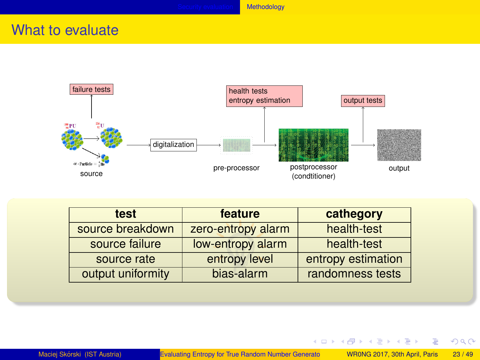## <span id="page-22-0"></span>What to evaluate



| test              | feature            | cathegory          |
|-------------------|--------------------|--------------------|
| source breakdown  | zero-entropy alarm | health-test        |
| source failure    | low-entropy alarm  | health-test        |
| source rate       | entropy level      | entropy estimation |
| output uniformity | bias-alarm         | randomness tests   |

イロメ イ団メ イミメ イモメー 舌

 $299$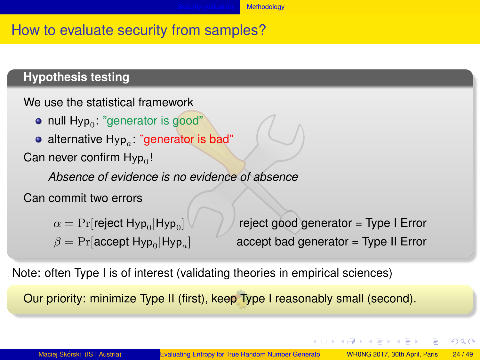#### **[Methodology](#page-23-0)**

## <span id="page-23-0"></span>How to evaluate security from samples?

### **Hypothesis testing**

```
We use the statistical framework
```
- null  $\mathsf{Hyp}_0$ : "generator is good"
- alternative Hyp*<sup>a</sup>* : "generator is bad"

Can never confirm Hyp $_{\rm 0}$ !

*Absence of evidence is no evidence of absence*

Can commit two errors

```
\alpha = \Pr[reject Hyp_0|Hyp_0
```
 $\beta = \Pr[\textsf{accept Hyp}_0 | \textsf{Hyp}_a]$ 

reject good generator = Type I Error  $accept$  bad generator = Type II Error

イロト イ母ト イヨト イヨト

 $QQ$ 

Note: often Type I is of interest (validating theories in empirical sciences)

Our priority: minimize Type II (first), keep Type I reasonably small (second).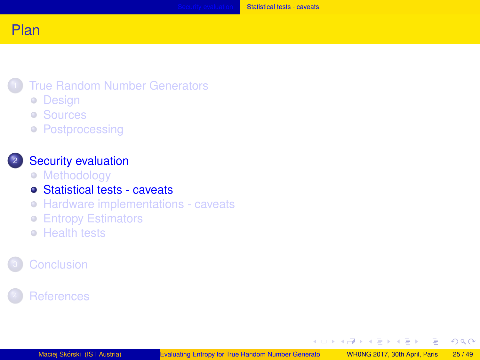#### <span id="page-24-0"></span>**[True Random Number Generators](#page-2-0)**

- [Design](#page-4-0)
- [Sources](#page-9-0)
- **[Postprocessing](#page-16-0)**

#### <sup>2</sup> [Security evaluation](#page-20-0)

- [Methodology](#page-21-0)
- [Statistical tests caveats](#page-24-0)
- [Hardware implementations caveats](#page-28-0)
- **[Entropy Estimators](#page-30-0)**
- **[Health tests](#page-36-0)**

## **[References](#page-42-0)**

イロト イ母 トイラト イラト

 $2Q$ 

Ξ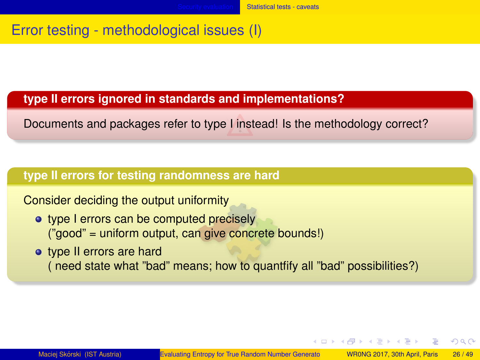## <span id="page-25-0"></span>Error testing - methodological issues (I)

#### **type II errors ignored in standards and implementations?**

Documents and packages refer to type I instead! Is the methodology correct?

#### **type II errors for testing randomness are hard**

Consider deciding the output uniformity

- type I errors can be computed precisely ("good" = uniform output, can give concrete bounds!)
- type II errors are hard ( need state what "bad" means; how to quantfify all "bad" possibilities?)

イロト イ押ト イヨト イヨト

 $\Omega$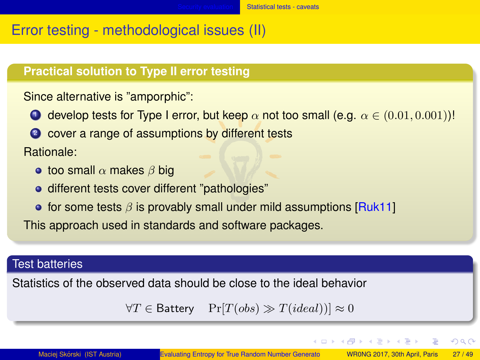## <span id="page-26-0"></span>Error testing - methodological issues (II)

#### **Practical solution to Type II error testing**

Since alternative is "amporphic":

- **1** develop tests for Type I error, but keep  $\alpha$  not too small (e.g.  $\alpha \in (0.01, 0.001))!$
- <sup>2</sup> cover a range of assumptions by different tests

#### Rationale:

- too small *α* makes *β* big
- o different tests cover different "pathologies"
- **•** for some tests *β* is provably small under mild assumptions [\[Ruk11\]](#page-46-2)

This approach used in standards and software packages.

#### Test batteries

Statistics of the observed data should be close to the ideal behavior

 $\forall T \in$  Battery Pr[*T*(*obs*)  $\gg$  *T*(*ideal*))] ≈ 0

画

 $QQQ$ 

イロト イ母ト イヨト イヨト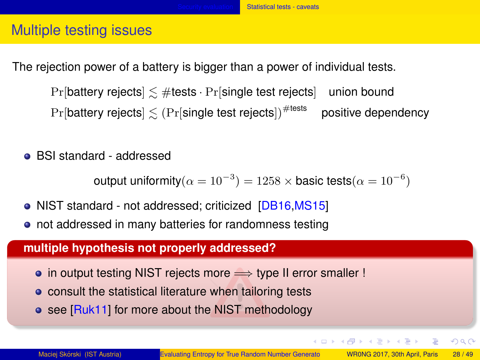## <span id="page-27-0"></span>Multiple testing issues

The rejection power of a battery is bigger than a power of individual tests.

 $Pr[$ battery rejects $] \lesssim #$ tests  $\cdot Pr[$ single test rejects $]$  union bound  $Pr[$ battery rejects $] \lesssim (Pr[$ single test rejects $]$ <sup>#tests</sup> positive dependency

BSI standard - addressed

output uniformity $(\alpha = {10}^{-3}) = 1258 \times \textsf{basic tests}(\alpha = {10}^{-6})$ 

- NIST standard not addressed; criticized [\[DB16](#page-43-3)[,MS15\]](#page-45-4)
- not addressed in many batteries for randomness testing

#### **multiple hypothesis not properly addressed?**

- in output testing NIST rejects more ⇒ type II error smaller !
- **•** consult the statistical literature when tailoring tests
- see [\[Ruk11\]](#page-46-2) for more about the NIST methodology

 $QQQ$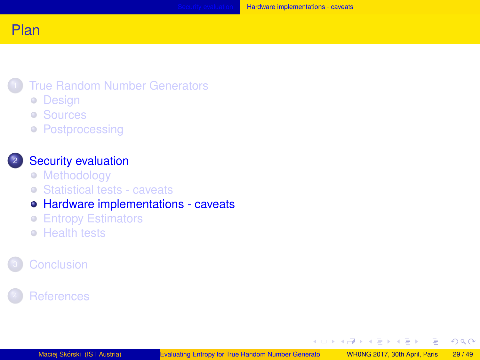#### <span id="page-28-0"></span>**[True Random Number Generators](#page-2-0)**

- [Design](#page-4-0)
- [Sources](#page-9-0)
- **[Postprocessing](#page-16-0)**

#### **[Security evaluation](#page-20-0)**

- [Methodology](#page-21-0)
- [Statistical tests caveats](#page-24-0)

### [Hardware implementations - caveats](#page-28-0)

- **[Entropy Estimators](#page-30-0)**
- **[Health tests](#page-36-0)**

## **[References](#page-42-0)**

イロト イ母 トイラト イラト

 $2Q$ 

Ξ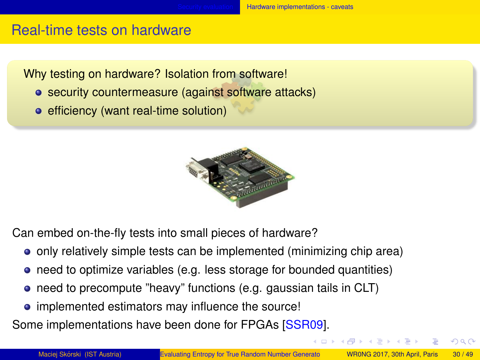## <span id="page-29-0"></span>Real-time tests on hardware

Why testing on hardware? Isolation from software!

- security countermeasure (against software attacks)
- efficiency (want real-time solution)



Can embed on-the-fly tests into small pieces of hardware?

- only relatively simple tests can be implemented (minimizing chip area)
- need to optimize variables (e.g. less storage for bounded quantities)
- need to precompute "heavy" functions (e.g. gaussian tails in CLT)
- implemented estimators may influence the source!

Some implementations have been done for FPGAs [\[SSR09\]](#page-46-3).

 $QQ$ 

イロト イ母ト イヨト イヨト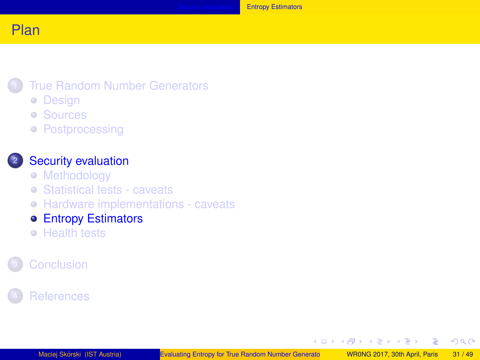### <span id="page-30-0"></span>**[True Random Number Generators](#page-2-0)**

- [Design](#page-4-0)
- [Sources](#page-9-0)
- **[Postprocessing](#page-16-0)**

### <sup>2</sup> [Security evaluation](#page-20-0)

- [Methodology](#page-21-0)
- [Statistical tests caveats](#page-24-0)
- [Hardware implementations caveats](#page-28-0)
- **[Entropy Estimators](#page-30-0)**
- **[Health tests](#page-36-0)**

## **[References](#page-42-0)**

イロト イ母 トイラト イラト

 $2Q$ 

Ξ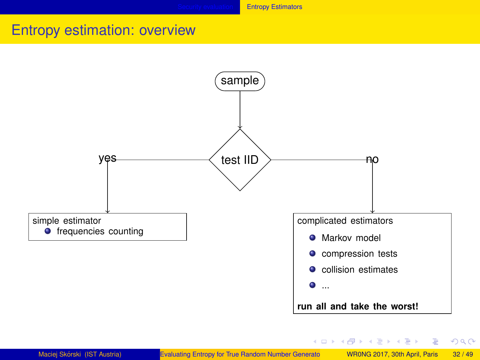## <span id="page-31-0"></span>Entropy estimation: overview



イロメ イ母メ イヨメ イヨメーヨ

 $2Q$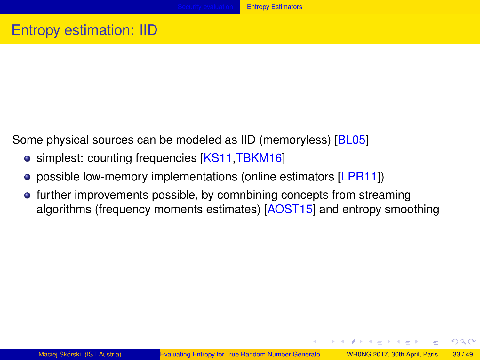## <span id="page-32-0"></span>Entropy estimation: IID

Some physical sources can be modeled as IID (memoryless) [\[BL05\]](#page-43-4)

- simplest: counting frequencies [\[KS11,](#page-45-0)[TBKM16\]](#page-47-0)
- possible low-memory implementations (online estimators [\[LPR11\]](#page-45-5))
- further improvements possible, by comnbining concepts from streaming algorithms (frequency moments estimates) [\[AOST15\]](#page-43-0) and entropy smoothing

イロト イ母 トイラ トイラ トー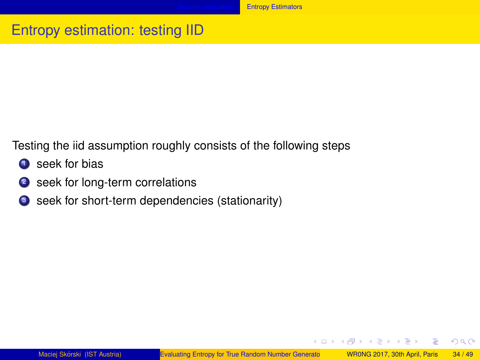#### **[Entropy Estimators](#page-33-0)**

# <span id="page-33-0"></span>Entropy estimation: testing IID

Testing the iid assumption roughly consists of the following steps

- **1** seek for bias
- <sup>2</sup> seek for long-term correlations
- <sup>3</sup> seek for short-term dependencies (stationarity)

イロメ イ団メ イモメ イモメー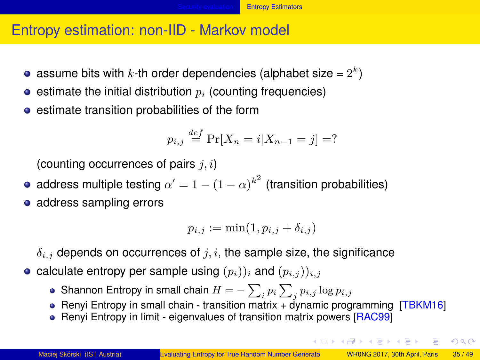## <span id="page-34-0"></span>Entropy estimation: non-IID - Markov model

- assume bits with  $k$ -th order dependencies (alphabet size =  $2^k$ )
- $\bullet$  estimate the initial distribution  $p_i$  (counting frequencies)
- **e** estimate transition probabilities of the form

$$
p_{i,j} \stackrel{def}{=} \Pr[X_n = i | X_{n-1} = j] = ?
$$

(counting occurrences of pairs *j, i*)

- address multiple testing  $\alpha' = 1 (1 \alpha)^{k^2}$  (transition probabilities)
- address sampling errors

$$
p_{i,j} := \min(1, p_{i,j} + \delta_{i,j})
$$

*δi,j* depends on occurrences of *j, i*, the sample size, the significance

- calculate entropy per sample using  $(p_i)$ )<sub>*i*</sub> and  $(p_{i,j})$ )<sub>*i,j*</sub>
	- Shannon Entropy in small chain  $H = -\sum_{i} p_i \sum_{j} p_{i,j} \log p_{i,j}$
	- Renyi Entropy in small chain transition matrix  $+$  dynamic programming [\[TBKM16\]](#page-47-0)
	- Renyi Entropy in limit eigenvalues of transition matrix powers [\[RAC99\]](#page-46-4)

LED KARD KED KED E VOO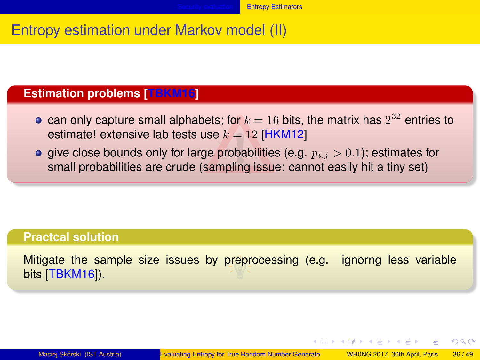## <span id="page-35-0"></span>Entropy estimation under Markov model (II)

## **Estimation problems [\[TBKM16\]](#page-47-0)**

- can only capture small alphabets; for  $k=16$  bits, the matrix has  $2^{32}$  entries to estimate! extensive lab tests use  $k = 12$  [\[HKM12\]](#page-44-3)
- **e** give close bounds only for large probabilities (e.g.  $p_{i,j} > 0.1$ ); estimates for small probabilities are crude (sampling issue: cannot easily hit a tiny set)

#### **Practcal solution**

Mitigate the sample size issues by preprocessing (e.g. ignorng less variable bits [\[TBKM16\]](#page-47-0)).

イロト イ押 トイヨ トイヨ トー

 $QQQ$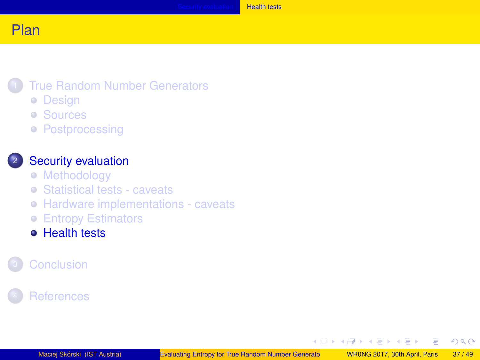### <span id="page-36-0"></span>**[True Random Number Generators](#page-2-0)**

- [Design](#page-4-0)
- [Sources](#page-9-0)
- **[Postprocessing](#page-16-0)**

### <sup>2</sup> [Security evaluation](#page-20-0)

- [Methodology](#page-21-0)
- [Statistical tests caveats](#page-24-0)
- [Hardware implementations caveats](#page-28-0)
- **[Entropy Estimators](#page-30-0)**
- **[Health tests](#page-36-0)**

## **[References](#page-42-0)**

イロト イ母 トイラト イラト

E

 $2Q$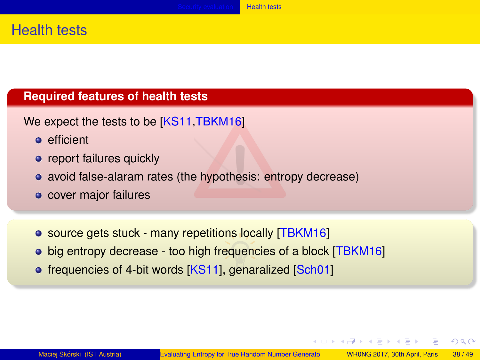## <span id="page-37-0"></span>Health tests

#### **Required features of health tests**

- We expect the tests to be [\[KS11](#page-45-0)[,TBKM16\]](#page-47-0)
	- efficient
	- report failures quickly
	- avoid false-alaram rates (the hypothesis: entropy decrease)
	- cover major failures
	- source gets stuck many repetitions locally [\[TBKM16\]](#page-47-0)
	- big entropy decrease too high frequencies of a block [\[TBKM16\]](#page-47-0)
	- frequencies of 4-bit words [\[KS11\]](#page-45-0), genaralized [\[Sch01\]](#page-46-5)

イロト イ押 トイヨ トイヨ トーヨ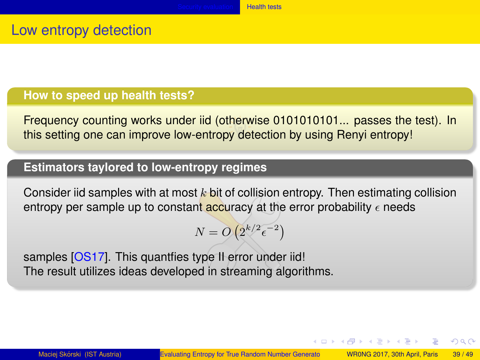## <span id="page-38-0"></span>Low entropy detection

#### **How to speed up health tests?**

Frequency counting works under iid (otherwise 0101010101... passes the test). In this setting one can improve low-entropy detection by using Renyi entropy!

## **Estimators taylored to low-entropy regimes**

Consider iid samples with at most *k* bit of collision entropy. Then estimating collision entropy per sample up to constant accuracy at the error probability  $\epsilon$  needs

$$
N = O\left(2^{k/2} \epsilon^{-2}\right)
$$

samples [\[OS17\]](#page-45-6). This quantfies type II error under iid! The result utilizes ideas developed in streaming algorithms.

イロメ イ母メ イヨメ イヨメー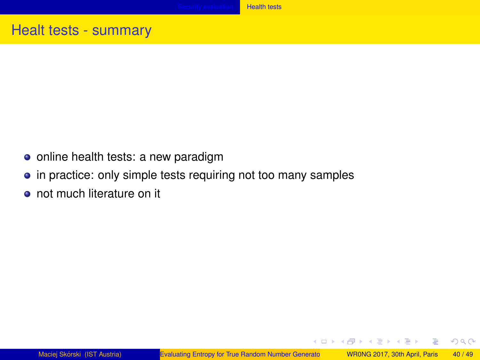# <span id="page-39-0"></span>Healt tests - summary

- online health tests: a new paradigm
- in practice: only simple tests requiring not too many samples
- not much literature on it

イロメ イ母メ イヨメ イヨメ

画

 $2Q$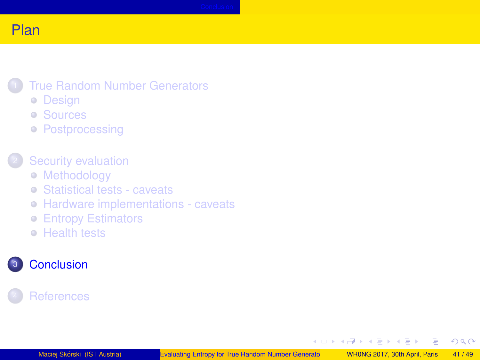## <span id="page-40-0"></span>**[True Random Number Generators](#page-2-0)**

- [Design](#page-4-0)
- [Sources](#page-9-0)
- **[Postprocessing](#page-16-0)**

## [Security evaluation](#page-20-0)

- [Methodology](#page-21-0)
- [Statistical tests caveats](#page-24-0)
- [Hardware implementations caveats](#page-28-0)
- **[Entropy Estimators](#page-30-0)**
- **[Health tests](#page-36-0)**

## <sup>3</sup> [Conclusion](#page-40-0)

## **[References](#page-42-0)**

**K ロ ト K 何 ト** 

 $\rightarrow$   $\equiv$   $\rightarrow$ 

 $\rightarrow$   $\equiv$   $\rightarrow$ 

 $2Q$ 

Ξ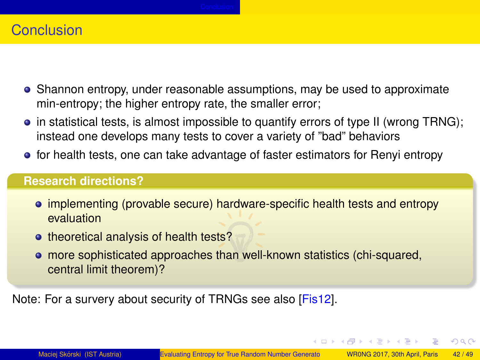## <span id="page-41-0"></span>Conclusion

- Shannon entropy, under reasonable assumptions, may be used to approximate min-entropy; the higher entropy rate, the smaller error;
- $\bullet$  in statistical tests, is almost impossible to quantify errors of type II (wrong TRNG); instead one develops many tests to cover a variety of "bad" behaviors
- for health tests, one can take advantage of faster estimators for Renyi entropy

#### **Research directions?**

- implementing (provable secure) hardware-specific health tests and entropy evaluation
- theoretical analysis of health tests?
- more sophisticated approaches than well-known statistics (chi-squared, central limit theorem)?

Note: For a survery about security of TRNGs see also [\[Fis12\]](#page-44-5).

イロト イ母ト イヨト イヨト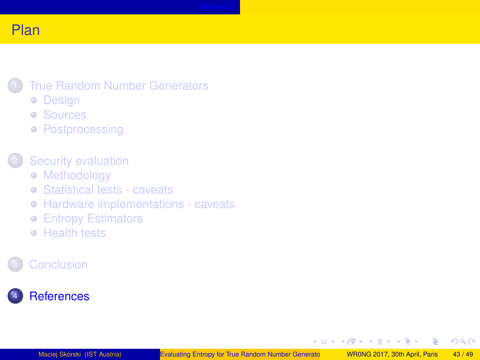### <span id="page-42-0"></span>**[True Random Number Generators](#page-2-0)**

- [Design](#page-4-0)
- [Sources](#page-9-0)
- **[Postprocessing](#page-16-0)**

### [Security evaluation](#page-20-0)

- [Methodology](#page-21-0)
- [Statistical tests caveats](#page-24-0)
- [Hardware implementations caveats](#page-28-0)
- **[Entropy Estimators](#page-30-0)**
- **[Health tests](#page-36-0)**

## **[Conclusion](#page-40-0)**

## **[References](#page-42-0)**

K ロ ⊁ K 倒 ≯ K 君 ⊁ K 君 ≯

 $2Q$ 

Ξ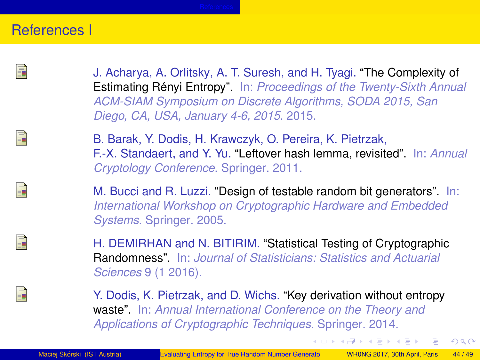### <span id="page-43-5"></span>References I

<span id="page-43-1"></span><span id="page-43-0"></span>

<span id="page-43-4"></span><span id="page-43-3"></span><span id="page-43-2"></span>F

J. Acharya, A. Orlitsky, A. T. Suresh, and H. Tyagi. "The Complexity of Estimating Rényi Entropy". In: *Proceedings of the Twenty-Sixth Annual ACM-SIAM Symposium on Discrete Algorithms, SODA 2015, San Diego, CA, USA, January 4-6, 2015*. 2015.

B. Barak, Y. Dodis, H. Krawczyk, O. Pereira, K. Pietrzak, F.-X. Standaert, and Y. Yu. "Leftover hash lemma, revisited". In: *Annual Cryptology Conference*. Springer. 2011.

M. Bucci and R. Luzzi. "Design of testable random bit generators". In: *International Workshop on Cryptographic Hardware and Embedded Systems*. Springer. 2005.

H. DEMIRHAN and N. BITIRIM. "Statistical Testing of Cryptographic Randomness". In: *Journal of Statisticians: Statistics and Actuarial Sciences* 9 (1 2016).

Y. Dodis, K. Pietrzak, and D. Wichs. "Key derivation without entropy waste". In: *Annual International Conference on the Theory and Applications of Cryptographic Techniques*. Springer. 2014.

 $QQQ$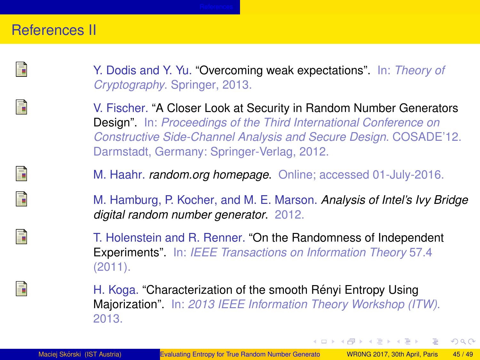## <span id="page-44-6"></span>References II

<span id="page-44-4"></span>

<span id="page-44-5"></span>

<span id="page-44-3"></span><span id="page-44-0"></span>晶 F

<span id="page-44-2"></span><span id="page-44-1"></span>Ħ

Y. Dodis and Y. Yu. "Overcoming weak expectations". In: *Theory of Cryptography*. Springer, 2013.

V. Fischer. "A Closer Look at Security in Random Number Generators Design". In: *Proceedings of the Third International Conference on Constructive Side-Channel Analysis and Secure Design*. COSADE'12. Darmstadt, Germany: Springer-Verlag, 2012.

M. Haahr. *random.org homepage*. Online; accessed 01-July-2016.

M. Hamburg, P. Kocher, and M. E. Marson. *Analysis of Intel's Ivy Bridge digital random number generator*. 2012.

T. Holenstein and R. Renner. "On the Randomness of Independent Experiments". In: *IEEE Transactions on Information Theory* 57.4 (2011).

H. Koga. "Characterization of the smooth Rényi Entropy Using Majorization". In: *2013 IEEE Information Theory Workshop (ITW)*. 2013.

イロメ イ母メ イヨメ イヨメ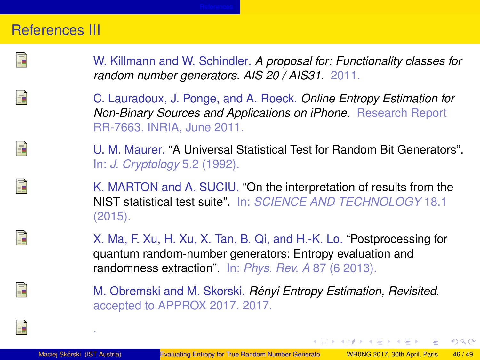## <span id="page-45-7"></span>References III

<span id="page-45-0"></span>F

<span id="page-45-5"></span>F

<span id="page-45-1"></span>Fì

<span id="page-45-4"></span><span id="page-45-2"></span>Ħ

W. Killmann and W. Schindler. *A proposal for: Functionality classes for random number generators. AIS 20 / AIS31*. 2011.

C. Lauradoux, J. Ponge, and A. Roeck. *Online Entropy Estimation for Non-Binary Sources and Applications on iPhone*. Research Report RR-7663. INRIA, June 2011.

U. M. Maurer. "A Universal Statistical Test for Random Bit Generators". In: *J. Cryptology* 5.2 (1992).

K. MARTON and A. SUCIU. "On the interpretation of results from the NIST statistical test suite". In: *SCIENCE AND TECHNOLOGY* 18.1 (2015).

X. Ma, F. Xu, H. Xu, X. Tan, B. Qi, and H.-K. Lo. "Postprocessing for quantum random-number generators: Entropy evaluation and randomness extraction". In: *Phys. Rev. A* 87 (6 2013).

M. Obremski and M. Skorski. *Renyi Entropy Estimation, Revisited ´* . accepted to APPROX 2017. 2017.

<span id="page-45-6"></span><span id="page-45-3"></span>譶

.

イロト イ母 トイヨ トイヨ トーヨ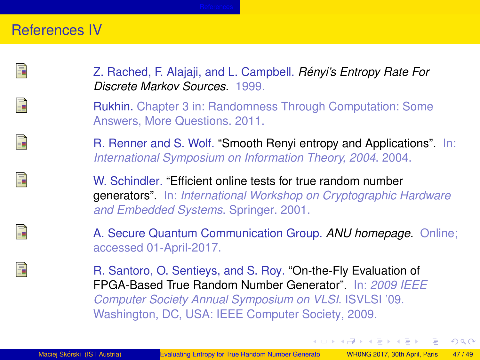## <span id="page-46-6"></span>References IV

<span id="page-46-4"></span>晶

<span id="page-46-2"></span>Ħ

<span id="page-46-1"></span>晶

<span id="page-46-5"></span>

<span id="page-46-0"></span>F

<span id="page-46-3"></span>

Z. Rached, F. Alajaji, and L. Campbell. *Renyi's Entropy Rate For ´ Discrete Markov Sources*. 1999.

Rukhin. Chapter 3 in: Randomness Through Computation: Some Answers, More Questions. 2011.

R. Renner and S. Wolf. "Smooth Renyi entropy and Applications". In: *International Symposium on Information Theory, 2004*. 2004.

W. Schindler. "Efficient online tests for true random number generators". In: *International Workshop on Cryptographic Hardware and Embedded Systems*. Springer. 2001.

A. Secure Quantum Communication Group. *ANU homepage*. Online; accessed 01-April-2017.

R. Santoro, O. Sentieys, and S. Roy. "On-the-Fly Evaluation of FPGA-Based True Random Number Generator". In: *2009 IEEE Computer Society Annual Symposium on VLSI*. ISVLSI '09. Washington, DC, USA: IEEE Computer Society, 2009.

イロト イ母ト イヨト イヨト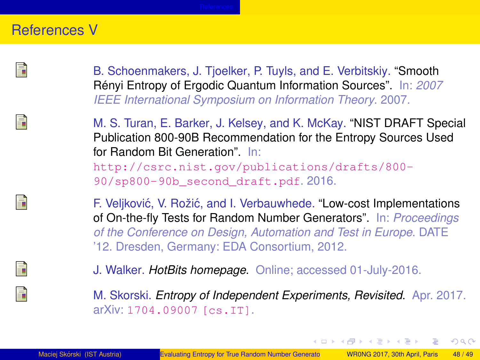## <span id="page-47-5"></span>References V

<span id="page-47-3"></span><span id="page-47-0"></span>

B. Schoenmakers, J. Tjoelker, P. Tuyls, and E. Verbitskiy. "Smooth Rényi Entropy of Ergodic Quantum Information Sources". In: 2007 *IEEE International Symposium on Information Theory*. 2007.

M. S. Turan, E. Barker, J. Kelsey, and K. McKay. "NIST DRAFT Special Publication 800-90B Recommendation for the Entropy Sources Used for Random Bit Generation". In:

[http://csrc.nist.gov/publications/drafts/800-](http://csrc.nist.gov/publications/drafts/800-90/sp800-90b_second_draft.pdf) [90/sp800-90b\\_second\\_draft.pdf](http://csrc.nist.gov/publications/drafts/800-90/sp800-90b_second_draft.pdf). 2016.

<span id="page-47-1"></span>F. Veljković, V. Rožić, and I. Verbauwhede. "Low-cost Implementations of On-the-fly Tests for Random Number Generators". In: *Proceedings of the Conference on Design, Automation and Test in Europe*. DATE '12. Dresden, Germany: EDA Consortium, 2012.

J. Walker. *HotBits homepage*. Online; accessed 01-July-2016.

M. Skorski. *Entropy of Independent Experiments, Revisited*. Apr. 2017. arXiv: [1704.09007 \[cs.IT\]](http://arxiv.org/abs/1704.09007).

<span id="page-47-4"></span><span id="page-47-2"></span>

イロメ イ母メ イヨメ イヨメ